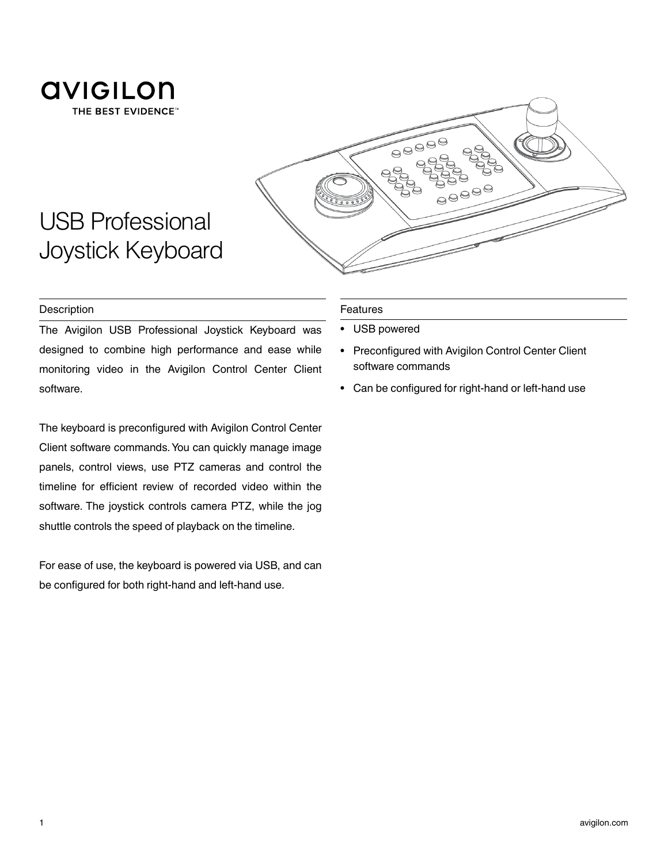

USB Professional

Joystick Keyboard



## **Description**

The Avigilon USB Professional Joystick Keyboard was designed to combine high performance and ease while monitoring video in the Avigilon Control Center Client software.

The keyboard is preconfigured with Avigilon Control Center Client software commands. You can quickly manage image panels, control views, use PTZ cameras and control the timeline for efficient review of recorded video within the software. The joystick controls camera PTZ, while the jog shuttle controls the speed of playback on the timeline.

For ease of use, the keyboard is powered via USB, and can be configured for both right-hand and left-hand use.

## Features

- USB powered
- Preconfigured with Avigilon Control Center Client software commands
- Can be configured for right-hand or left-hand use